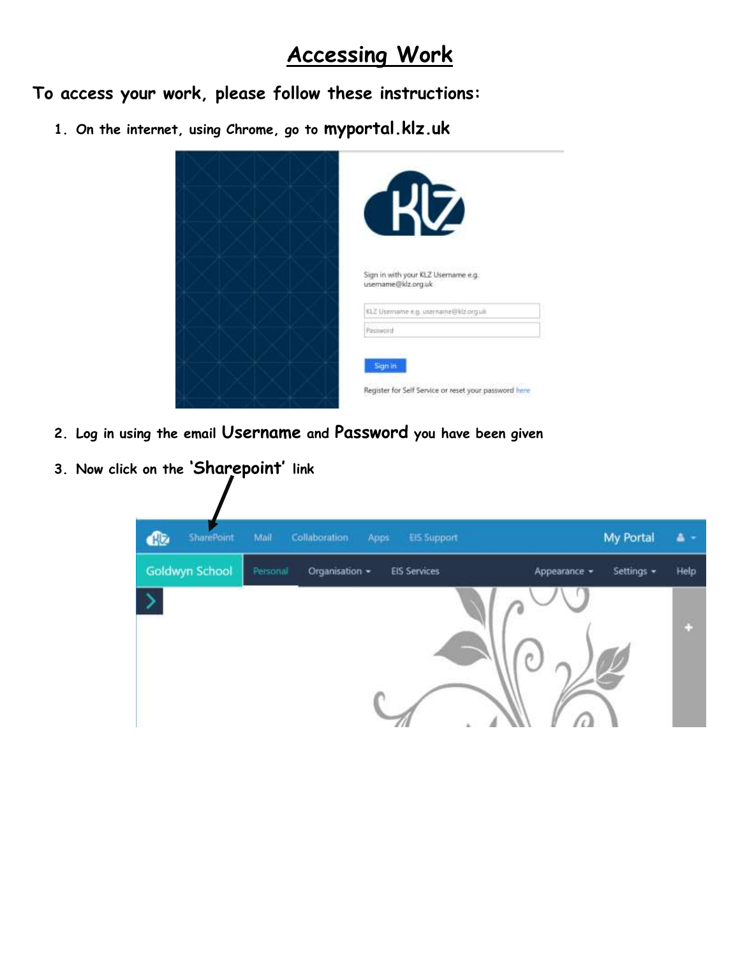## **Accessing Work**

**To access your work, please follow these instructions:**

**1. On the internet, using Chrome, go to myportal.klz.uk**

| 7                                                                |
|------------------------------------------------------------------|
| Sign in with your KLZ Username e.g.<br>usemame@klz.org.uk        |
| KLZ Username e.g. username@klz.org.uk<br>Password                |
| Sign in<br>Register for Self Service or reset your password here |

- **2. Log in using the email Username and Password you have been given**
- **3. Now click on the 'Sharepoint' link**

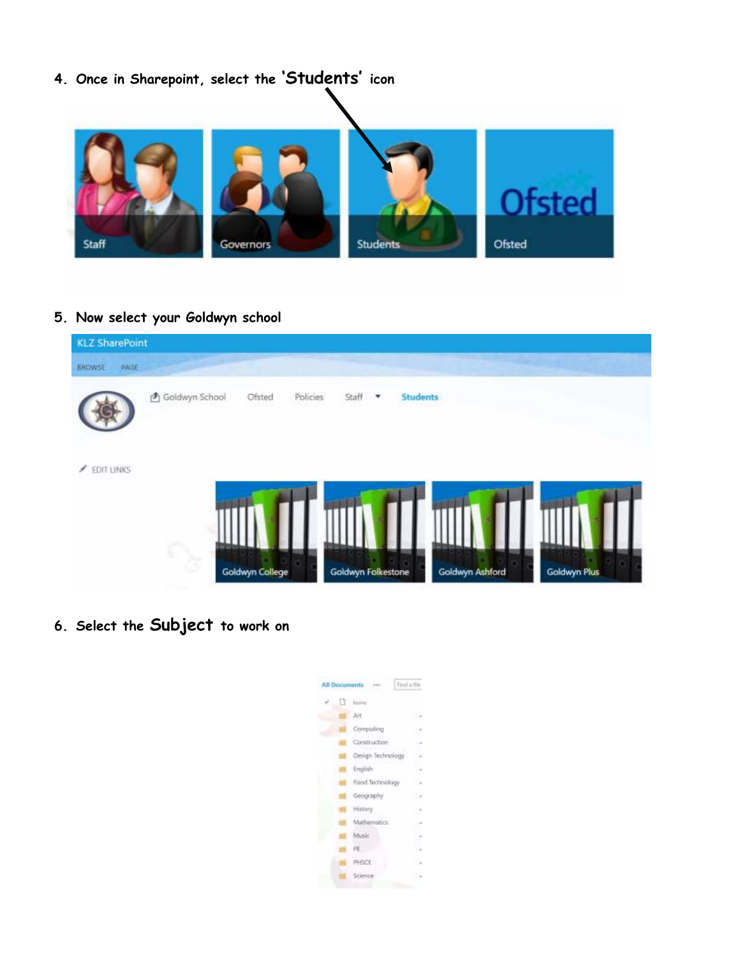

## **5. Now select your Goldwyn school**

| <b>KLZ SharePoint</b> |                  |                 |                   |                      |                        |              |
|-----------------------|------------------|-----------------|-------------------|----------------------|------------------------|--------------|
| BROWSE PAGE           |                  |                 |                   |                      |                        |              |
|                       | 西 Goldwyn School | Ofsted          | Policies<br>Staff | <b>Students</b><br>٠ |                        |              |
| EDIT LINKS<br>∕       | G,               | Goldwyn College | . .               | Goldwyn Folkestone   | . .<br>Goldwyn Ashford | Goldwyn Plus |

**6. Select the Subject to work on**

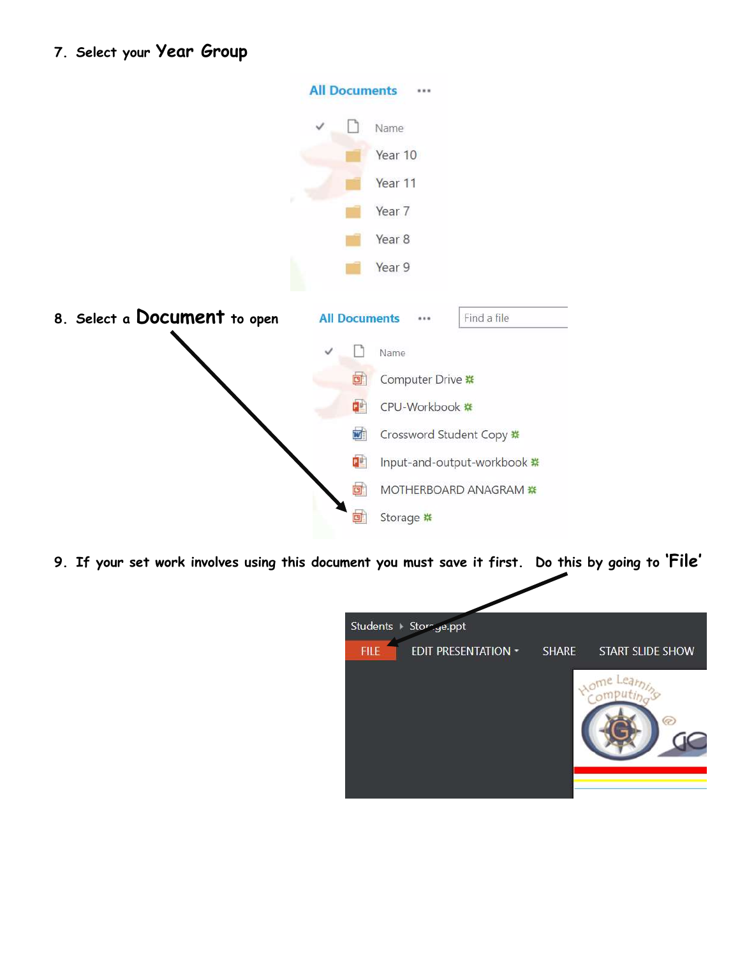|                              | <b>All Documents</b><br>                |  |
|------------------------------|-----------------------------------------|--|
|                              | Name                                    |  |
|                              | Year 10                                 |  |
|                              | Year 11                                 |  |
|                              | Year 7                                  |  |
|                              | Year 8                                  |  |
|                              | Year 9                                  |  |
| 8. Select a Document to open | Find a file<br><b>All Documents</b><br> |  |
|                              |                                         |  |
|                              | Name                                    |  |
|                              | Computer Drive ※<br>回                   |  |
|                              | 配<br>CPU-Workbook #                     |  |
|                              | WÌ<br>Crossword Student Copy ※          |  |
|                              | 酣<br>Input-and-output-workbook *        |  |
|                              | 回<br>MOTHERBOARD ANAGRAM **             |  |

**9. If your set work involves using this document you must save it first. Do this by going to 'File'**

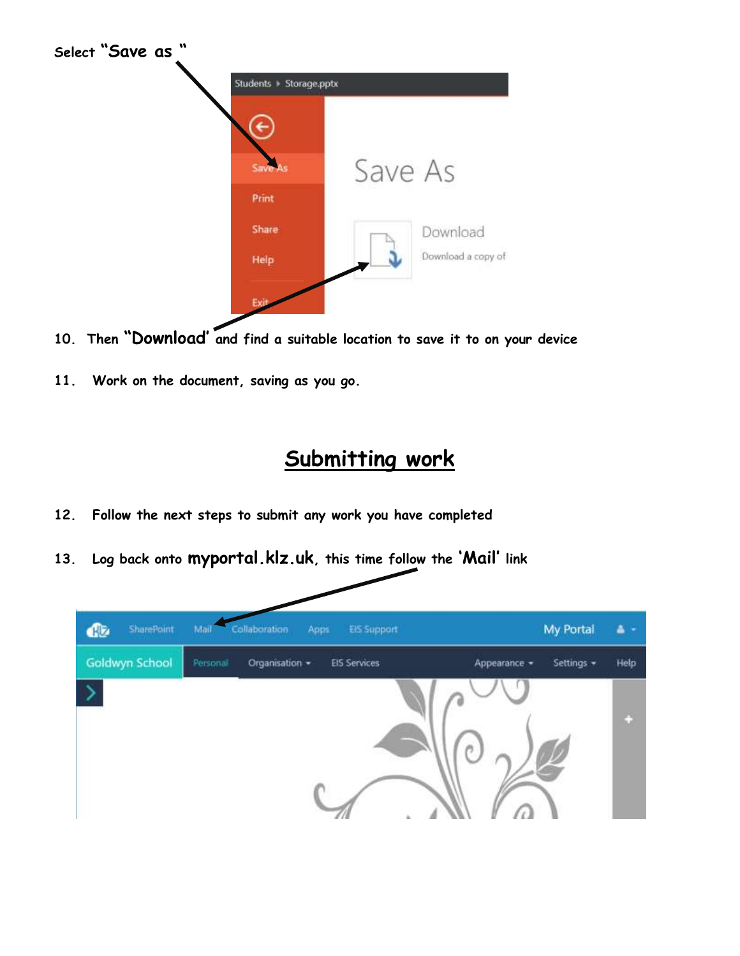

- **10. Then "Download' and find a suitable location to save it to on your device**
- **11. Work on the document, saving as you go.**

## **Submitting work**

- **12. Follow the next steps to submit any work you have completed**
- **13. Log back onto myportal.klz.uk, this time follow the 'Mail' link**

| SharePoint     | Mail<br>Collaboration<br><b>EIS Support</b><br>Apps | My Portal                          |
|----------------|-----------------------------------------------------|------------------------------------|
| Goldwyn School | <b>EIS Services</b><br>Personal<br>Organisation *   | Help<br>Settings -<br>Appearance - |
|                |                                                     | o                                  |